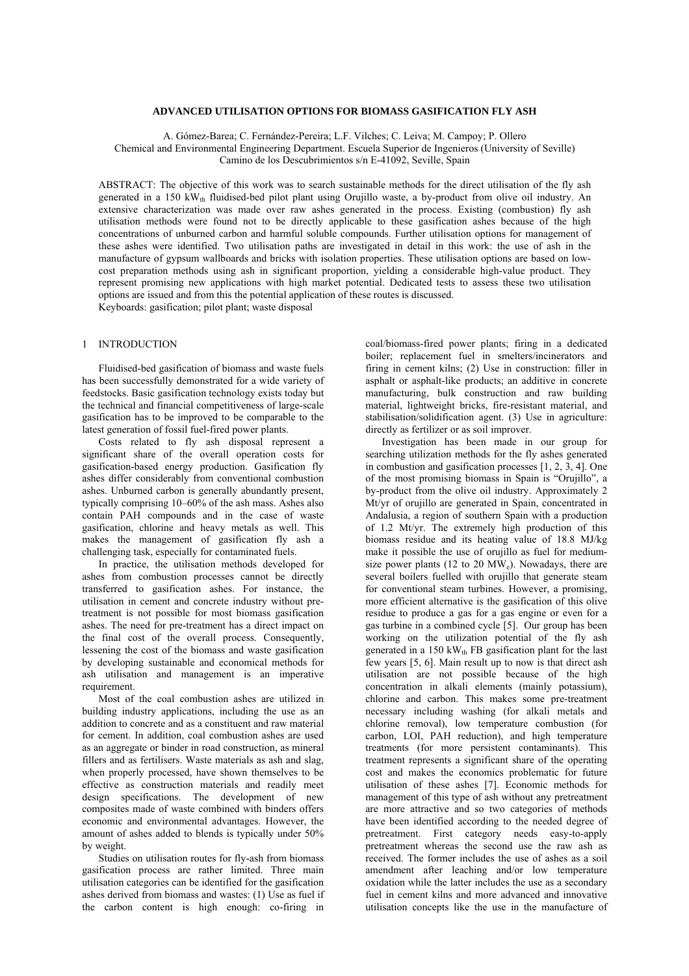## **ADVANCED UTILISATION OPTIONS FOR BIOMASS GASIFICATION FLY ASH**

A. Gómez-Barea; C. Fernández-Pereira; L.F. Vilches; C. Leiva; M. Campoy; P. Ollero Chemical and Environmental Engineering Department. Escuela Superior de Ingenieros (University of Seville) Camino de los Descubrimientos s/n E-41092, Seville, Spain

ABSTRACT: The objective of this work was to search sustainable methods for the direct utilisation of the fly ash generated in a 150 kW<sub>th</sub> fluidised-bed pilot plant using Orujillo waste, a by-product from olive oil industry. An extensive characterization was made over raw ashes generated in the process. Existing (combustion) fly ash utilisation methods were found not to be directly applicable to these gasification ashes because of the high concentrations of unburned carbon and harmful soluble compounds. Further utilisation options for management of these ashes were identified. Two utilisation paths are investigated in detail in this work: the use of ash in the manufacture of gypsum wallboards and bricks with isolation properties. These utilisation options are based on lowcost preparation methods using ash in significant proportion, yielding a considerable high-value product. They represent promising new applications with high market potential. Dedicated tests to assess these two utilisation options are issued and from this the potential application of these routes is discussed. Keyboards: gasification; pilot plant; waste disposal

1 INTRODUCTION

Fluidised-bed gasification of biomass and waste fuels has been successfully demonstrated for a wide variety of feedstocks. Basic gasification technology exists today but the technical and financial competitiveness of large-scale gasification has to be improved to be comparable to the latest generation of fossil fuel-fired power plants.

Costs related to fly ash disposal represent a significant share of the overall operation costs for gasification-based energy production. Gasification fly ashes differ considerably from conventional combustion ashes. Unburned carbon is generally abundantly present, typically comprising 10–60% of the ash mass. Ashes also contain PAH compounds and in the case of waste gasification, chlorine and heavy metals as well. This makes the management of gasification fly ash a challenging task, especially for contaminated fuels.

In practice, the utilisation methods developed for ashes from combustion processes cannot be directly transferred to gasification ashes. For instance, the utilisation in cement and concrete industry without pretreatment is not possible for most biomass gasification ashes. The need for pre-treatment has a direct impact on the final cost of the overall process. Consequently, lessening the cost of the biomass and waste gasification by developing sustainable and economical methods for ash utilisation and management is an imperative requirement.

Most of the coal combustion ashes are utilized in building industry applications, including the use as an addition to concrete and as a constituent and raw material for cement. In addition, coal combustion ashes are used as an aggregate or binder in road construction, as mineral fillers and as fertilisers. Waste materials as ash and slag, when properly processed, have shown themselves to be effective as construction materials and readily meet design specifications. The development of new composites made of waste combined with binders offers economic and environmental advantages. However, the amount of ashes added to blends is typically under 50% by weight.

Studies on utilisation routes for fly-ash from biomass gasification process are rather limited. Three main utilisation categories can be identified for the gasification ashes derived from biomass and wastes: (1) Use as fuel if the carbon content is high enough: co-firing in coal/biomass-fired power plants; firing in a dedicated boiler; replacement fuel in smelters/incinerators and firing in cement kilns; (2) Use in construction: filler in asphalt or asphalt-like products; an additive in concrete manufacturing, bulk construction and raw building material, lightweight bricks, fire-resistant material, and stabilisation/solidification agent. (3) Use in agriculture: directly as fertilizer or as soil improver.

Investigation has been made in our group for searching utilization methods for the fly ashes generated in combustion and gasification processes [1, 2, 3, 4]. One of the most promising biomass in Spain is "Orujillo", a by-product from the olive oil industry. Approximately 2 Mt/yr of orujillo are generated in Spain, concentrated in Andalusia, a region of southern Spain with a production of 1.2 Mt/yr. The extremely high production of this biomass residue and its heating value of 18.8 MJ/kg make it possible the use of orujillo as fuel for mediumsize power plants (12 to 20  $\text{MW}_e$ ). Nowadays, there are several boilers fuelled with orujillo that generate steam for conventional steam turbines. However, a promising, more efficient alternative is the gasification of this olive residue to produce a gas for a gas engine or even for a gas turbine in a combined cycle [5]. Our group has been working on the utilization potential of the fly ash generated in a  $150 \text{ kW}_{\text{th}}$  FB gasification plant for the last few years [5, 6]. Main result up to now is that direct ash utilisation are not possible because of the high concentration in alkali elements (mainly potassium), chlorine and carbon. This makes some pre-treatment necessary including washing (for alkali metals and chlorine removal), low temperature combustion (for carbon, LOI, PAH reduction), and high temperature treatments (for more persistent contaminants). This treatment represents a significant share of the operating cost and makes the economics problematic for future utilisation of these ashes [7]. Economic methods for management of this type of ash without any pretreatment are more attractive and so two categories of methods have been identified according to the needed degree of pretreatment. First category needs easy-to-apply pretreatment whereas the second use the raw ash as received. The former includes the use of ashes as a soil amendment after leaching and/or low temperature oxidation while the latter includes the use as a secondary fuel in cement kilns and more advanced and innovative utilisation concepts like the use in the manufacture of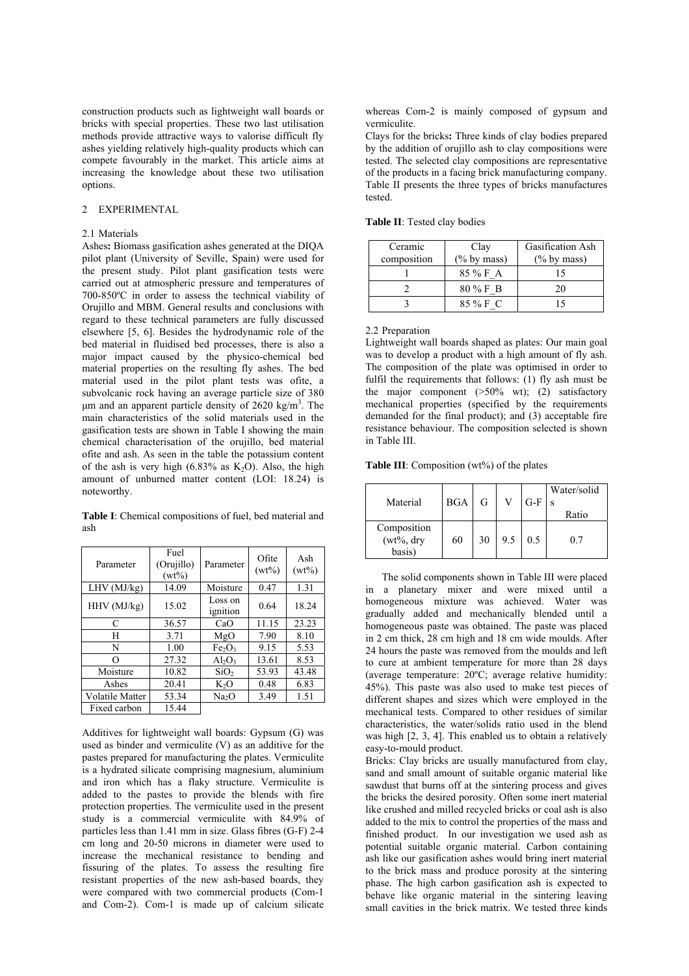construction products such as lightweight wall boards or bricks with special properties. These two last utilisation methods provide attractive ways to valorise difficult fly ashes yielding relatively high-quality products which can compete favourably in the market. This article aims at increasing the knowledge about these two utilisation options.

# 2 EXPERIMENTAL

## 2.1 Materials

Ashes**:** Biomass gasification ashes generated at the DIQA pilot plant (University of Seville, Spain) were used for the present study. Pilot plant gasification tests were carried out at atmospheric pressure and temperatures of 700-850ºC in order to assess the technical viability of Orujillo and MBM. General results and conclusions with regard to these technical parameters are fully discussed elsewhere [5, 6]. Besides the hydrodynamic role of the bed material in fluidised bed processes, there is also a major impact caused by the physico-chemical bed material properties on the resulting fly ashes. The bed material used in the pilot plant tests was ofite, a subvolcanic rock having an average particle size of 380  $\mu$ m and an apparent particle density of 2620 kg/m<sup>3</sup>. The main characteristics of the solid materials used in the gasification tests are shown in Table I showing the main chemical characterisation of the orujillo, bed material ofite and ash. As seen in the table the potassium content of the ash is very high (6.83% as  $K_2O$ ). Also, the high amount of unburned matter content (LOI: 18.24) is noteworthy.

**Table I**: Chemical compositions of fuel, bed material and ash

| Parameter       | Fuel<br>(Orujillo)<br>$(wt\%)$ | Parameter                      | Ofite<br>$(wt\%)$ | Ash<br>$(wt\%)$ |
|-----------------|--------------------------------|--------------------------------|-------------------|-----------------|
| LHV (MJ/kg)     | 14.09                          | Moisture                       | 0.47              | 1.31            |
| HHV (MJ/kg)     | 15.02                          | Loss on<br>ignition            | 0.64              | 18.24           |
| C               | 36.57                          | CaO                            | 11.15             | 23.23           |
| H               | 3.71                           | MgO                            | 7.90              | 8.10            |
| N               | 1.00                           | Fe <sub>2</sub> O <sub>3</sub> | 9.15              | 5.53            |
| ∩               | 27.32                          | $Al_2O_3$                      | 13.61             | 8.53            |
| Moisture        | 10.82                          | SiO <sub>2</sub>               | 53.93             | 43.48           |
| Ashes           | 20.41                          | $K_2O$                         | 0.48              | 6.83            |
| Volatile Matter | 53.34                          | Na <sub>2</sub> O              | 3.49              | 1.51            |
| Fixed carbon    | 15.44                          |                                |                   |                 |

Additives for lightweight wall boards: Gypsum (G) was used as binder and vermiculite (V) as an additive for the pastes prepared for manufacturing the plates. Vermiculite is a hydrated silicate comprising magnesium, aluminium and iron which has a flaky structure. Vermiculite is added to the pastes to provide the blends with fire protection properties. The vermiculite used in the present study is a commercial vermiculite with 84.9% of particles less than 1.41 mm in size. Glass fibres (G-F) 2-4 cm long and 20-50 microns in diameter were used to increase the mechanical resistance to bending and fissuring of the plates. To assess the resulting fire resistant properties of the new ash-based boards, they were compared with two commercial products (Com-1 and Com-2). Com-1 is made up of calcium silicate whereas Com-2 is mainly composed of gypsum and vermiculite.

Clays for the bricks**:** Three kinds of clay bodies prepared by the addition of orujillo ash to clay compositions were tested. The selected clay compositions are representative of the products in a facing brick manufacturing company. Table II presents the three types of bricks manufactures tested.

| Ceramic<br>composition | Clay<br>$(\%$ by mass) | Gasification Ash<br>$(\%$ by mass) |
|------------------------|------------------------|------------------------------------|
|                        | 85 % F A               |                                    |
|                        | $80\%$ F B             | 20                                 |
|                        | 85 % F C               |                                    |

#### **Table II**: Tested clay bodies

#### 2.2 Preparation

Lightweight wall boards shaped as plates: Our main goal was to develop a product with a high amount of fly ash. The composition of the plate was optimised in order to fulfil the requirements that follows: (1) fly ash must be the major component (>50% wt); (2) satisfactory mechanical properties (specified by the requirements demanded for the final product); and (3) acceptable fire resistance behaviour. The composition selected is shown in Table III.

**Table III**: Composition (wt%) of the plates

|                              |            |    |     |       | Water/solid |
|------------------------------|------------|----|-----|-------|-------------|
| Material                     | <b>BGA</b> | G  |     | $G-F$ |             |
|                              |            |    |     |       | Ratio       |
| Composition<br>$(wt\%, dry)$ | 60         | 30 | 9.5 | 0.5   | 07          |
| basis)                       |            |    |     |       |             |

 The solid components shown in Table III were placed in a planetary mixer and were mixed until a homogeneous mixture was achieved. Water was gradually added and mechanically blended until a homogeneous paste was obtained. The paste was placed in 2 cm thick, 28 cm high and 18 cm wide moulds. After 24 hours the paste was removed from the moulds and left to cure at ambient temperature for more than 28 days (average temperature: 20ºC; average relative humidity: 45%). This paste was also used to make test pieces of different shapes and sizes which were employed in the mechanical tests. Compared to other residues of similar characteristics, the water/solids ratio used in the blend was high [2, 3, 4]. This enabled us to obtain a relatively easy-to-mould product.

Bricks: Clay bricks are usually manufactured from clay, sand and small amount of suitable organic material like sawdust that burns off at the sintering process and gives the bricks the desired porosity. Often some inert material like crushed and milled recycled bricks or coal ash is also added to the mix to control the properties of the mass and finished product. In our investigation we used ash as potential suitable organic material. Carbon containing ash like our gasification ashes would bring inert material to the brick mass and produce porosity at the sintering phase. The high carbon gasification ash is expected to behave like organic material in the sintering leaving small cavities in the brick matrix. We tested three kinds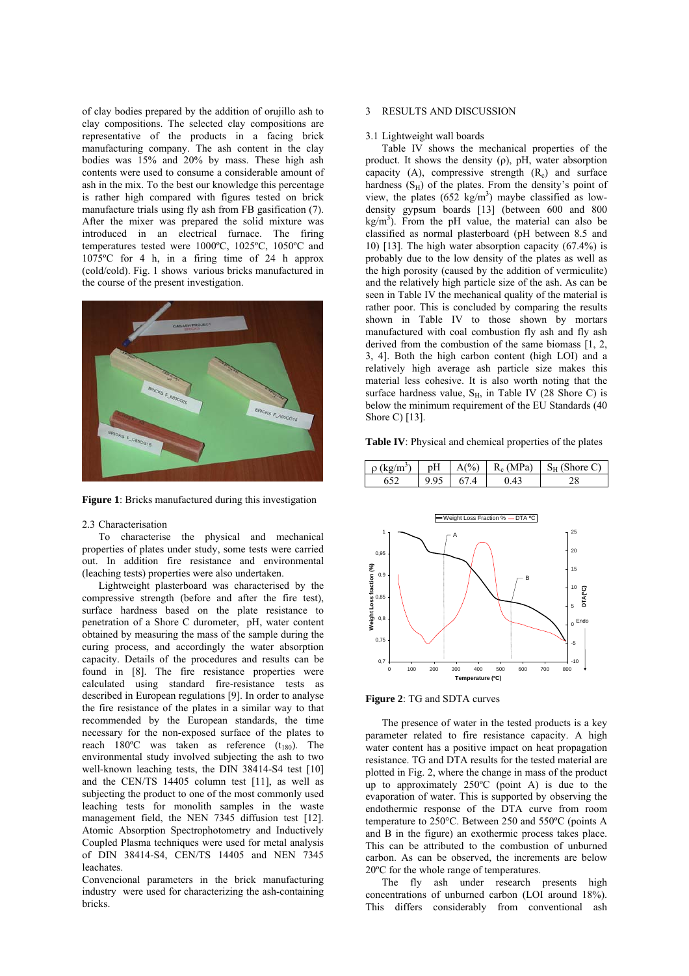of clay bodies prepared by the addition of orujillo ash to clay compositions. The selected clay compositions are representative of the products in a facing brick manufacturing company. The ash content in the clay bodies was 15% and 20% by mass. These high ash contents were used to consume a considerable amount of ash in the mix. To the best our knowledge this percentage is rather high compared with figures tested on brick manufacture trials using fly ash from FB gasification (7). After the mixer was prepared the solid mixture was introduced in an electrical furnace. The firing temperatures tested were 1000ºC, 1025ºC, 1050ºC and 1075ºC for 4 h, in a firing time of 24 h approx (cold/cold). Fig. 1 shows various bricks manufactured in the course of the present investigation.



**Figure 1**: Bricks manufactured during this investigation

#### 2.3 Characterisation

 To characterise the physical and mechanical properties of plates under study, some tests were carried out. In addition fire resistance and environmental (leaching tests) properties were also undertaken.

 Lightweight plasterboard was characterised by the compressive strength (before and after the fire test), surface hardness based on the plate resistance to penetration of a Shore C durometer, pH, water content obtained by measuring the mass of the sample during the curing process, and accordingly the water absorption capacity. Details of the procedures and results can be found in [8]. The fire resistance properties were calculated using standard fire-resistance tests as described in European regulations [9]. In order to analyse the fire resistance of the plates in a similar way to that recommended by the European standards, the time necessary for the non-exposed surface of the plates to reach 180 $^{\circ}$ C was taken as reference  $(t_{180})$ . The environmental study involved subjecting the ash to two well-known leaching tests, the DIN 38414-S4 test [10] and the CEN/TS 14405 column test [11], as well as subjecting the product to one of the most commonly used leaching tests for monolith samples in the waste management field, the NEN 7345 diffusion test [12]. Atomic Absorption Spectrophotometry and Inductively Coupled Plasma techniques were used for metal analysis of DIN 38414-S4, CEN/TS 14405 and NEN 7345 leachates.

Convencional parameters in the brick manufacturing industry were used for characterizing the ash-containing bricks.

#### 3 RESULTS AND DISCUSSION

#### 3.1 Lightweight wall boards

Table IV shows the mechanical properties of the product. It shows the density  $(\rho)$ , pH, water absorption capacity (A), compressive strength  $(R<sub>c</sub>)$  and surface hardness  $(S_H)$  of the plates. From the density's point of view, the plates  $(652 \text{ kg/m}^3)$  maybe classified as lowdensity gypsum boards [13] (between 600 and 800  $kg/m<sup>3</sup>$ ). From the pH value, the material can also be classified as normal plasterboard (pH between 8.5 and 10) [13]. The high water absorption capacity (67.4%) is probably due to the low density of the plates as well as the high porosity (caused by the addition of vermiculite) and the relatively high particle size of the ash. As can be seen in Table IV the mechanical quality of the material is rather poor. This is concluded by comparing the results shown in Table IV to those shown by mortars manufactured with coal combustion fly ash and fly ash derived from the combustion of the same biomass [1, 2, 3, 4]. Both the high carbon content (high LOI) and a relatively high average ash particle size makes this material less cohesive. It is also worth noting that the surface hardness value,  $S_H$ , in Table IV (28 Shore C) is below the minimum requirement of the EU Standards (40 Shore C) [13].

**Table IV**: Physical and chemical properties of the plates

 $pH \mid A(\%) \mid R_c (MPa) \mid S_H (Shore C)$ 



**Figure 2**: TG and SDTA curves

ρ (kg/m<sup>3</sup>)

The presence of water in the tested products is a key parameter related to fire resistance capacity. A high water content has a positive impact on heat propagation resistance. TG and DTA results for the tested material are plotted in Fig. 2, where the change in mass of the product up to approximately 250ºC (point A) is due to the evaporation of water. This is supported by observing the endothermic response of the DTA curve from room temperature to 250°C. Between 250 and 550ºC (points A and B in the figure) an exothermic process takes place. This can be attributed to the combustion of unburned carbon. As can be observed, the increments are below 20ºC for the whole range of temperatures.

The fly ash under research presents high concentrations of unburned carbon (LOI around 18%). This differs considerably from conventional ash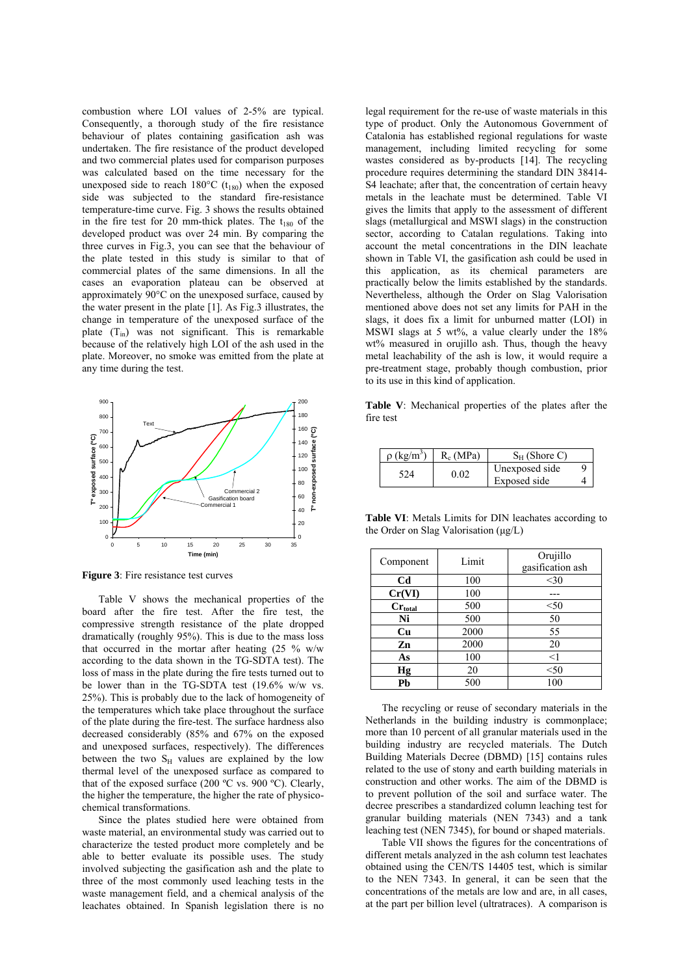combustion where LOI values of 2-5% are typical. Consequently, a thorough study of the fire resistance behaviour of plates containing gasification ash was undertaken. The fire resistance of the product developed and two commercial plates used for comparison purposes was calculated based on the time necessary for the unexposed side to reach  $180^{\circ}$ C (t<sub>180</sub>) when the exposed side was subjected to the standard fire-resistance temperature-time curve. Fig. 3 shows the results obtained in the fire test for 20 mm-thick plates. The  $t_{180}$  of the developed product was over 24 min. By comparing the three curves in Fig.3, you can see that the behaviour of the plate tested in this study is similar to that of commercial plates of the same dimensions. In all the cases an evaporation plateau can be observed at approximately 90°C on the unexposed surface, caused by the water present in the plate [1]. As Fig.3 illustrates, the change in temperature of the unexposed surface of the plate  $(T_{in})$  was not significant. This is remarkable because of the relatively high LOI of the ash used in the plate. Moreover, no smoke was emitted from the plate at any time during the test.



**Figure 3**: Fire resistance test curves

Table V shows the mechanical properties of the board after the fire test. After the fire test, the compressive strength resistance of the plate dropped dramatically (roughly 95%). This is due to the mass loss that occurred in the mortar after heating (25 % w/w according to the data shown in the TG-SDTA test). The loss of mass in the plate during the fire tests turned out to be lower than in the TG-SDTA test (19.6% w/w vs. 25%). This is probably due to the lack of homogeneity of the temperatures which take place throughout the surface of the plate during the fire-test. The surface hardness also decreased considerably (85% and 67% on the exposed and unexposed surfaces, respectively). The differences between the two  $S_H$  values are explained by the low thermal level of the unexposed surface as compared to that of the exposed surface (200 ºC vs. 900 ºC). Clearly, the higher the temperature, the higher the rate of physicochemical transformations.

Since the plates studied here were obtained from waste material, an environmental study was carried out to characterize the tested product more completely and be able to better evaluate its possible uses. The study involved subjecting the gasification ash and the plate to three of the most commonly used leaching tests in the waste management field, and a chemical analysis of the leachates obtained. In Spanish legislation there is no legal requirement for the re-use of waste materials in this type of product. Only the Autonomous Government of Catalonia has established regional regulations for waste management, including limited recycling for some wastes considered as by-products [14]. The recycling procedure requires determining the standard DIN 38414- S4 leachate; after that, the concentration of certain heavy metals in the leachate must be determined. Table VI gives the limits that apply to the assessment of different slags (metallurgical and MSWI slags) in the construction sector, according to Catalan regulations. Taking into account the metal concentrations in the DIN leachate shown in Table VI, the gasification ash could be used in this application, as its chemical parameters are practically below the limits established by the standards. Nevertheless, although the Order on Slag Valorisation mentioned above does not set any limits for PAH in the slags, it does fix a limit for unburned matter (LOI) in MSWI slags at 5 wt%, a value clearly under the 18% wt% measured in orujillo ash. Thus, though the heavy metal leachability of the ash is low, it would require a pre-treatment stage, probably though combustion, prior to its use in this kind of application.

**Table V**: Mechanical properties of the plates after the fire test

| $\Omega$ (kg/m <sup>3</sup> ) | $R_0(MPa)$ | $S_H$ (Shore C)                |  |
|-------------------------------|------------|--------------------------------|--|
|                               | በ በን       | Unexposed side<br>Exposed side |  |

**Table VI**: Metals Limits for DIN leachates according to the Order on Slag Valorisation  $(\mu \varrho/L)$ 

| Component           | Limit | Orujillo<br>gasification ash |
|---------------------|-------|------------------------------|
| Cd                  | 100   | $30$                         |
| Cr(VI)              | 100   |                              |
| $Cr_{\text{total}}$ | 500   | $50$                         |
| Ni                  | 500   | 50                           |
| Cu                  | 2000  | 55                           |
| Zn                  | 2000  | 20                           |
| As                  | 100   | <1                           |
| Hg                  | 20    | < 50                         |
| Pb                  | 500   | 100                          |

The recycling or reuse of secondary materials in the Netherlands in the building industry is commonplace; more than 10 percent of all granular materials used in the building industry are recycled materials. The Dutch Building Materials Decree (DBMD) [15] contains rules related to the use of stony and earth building materials in construction and other works. The aim of the DBMD is to prevent pollution of the soil and surface water. The decree prescribes a standardized column leaching test for granular building materials (NEN 7343) and a tank leaching test (NEN 7345), for bound or shaped materials.

Table VII shows the figures for the concentrations of different metals analyzed in the ash column test leachates obtained using the CEN/TS 14405 test, which is similar to the NEN 7343. In general, it can be seen that the concentrations of the metals are low and are, in all cases, at the part per billion level (ultratraces). A comparison is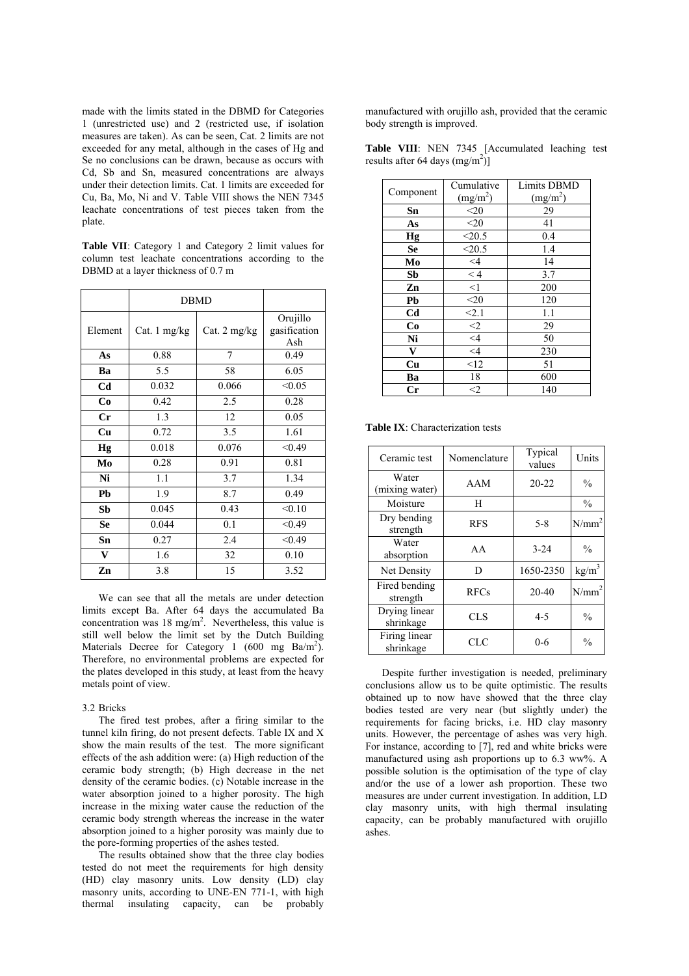made with the limits stated in the DBMD for Categories 1 (unrestricted use) and 2 (restricted use, if isolation measures are taken). As can be seen, Cat. 2 limits are not exceeded for any metal, although in the cases of Hg and Se no conclusions can be drawn, because as occurs with Cd, Sb and Sn, measured concentrations are always under their detection limits. Cat. 1 limits are exceeded for Cu, Ba, Mo, Ni and V. Table VIII shows the NEN 7345 leachate concentrations of test pieces taken from the plate.

**Table VII**: Category 1 and Category 2 limit values for column test leachate concentrations according to the DBMD at a layer thickness of 0.7 m

|                | <b>DBMD</b>  |              |                                 |
|----------------|--------------|--------------|---------------------------------|
| Element        | Cat. 1 mg/kg | Cat. 2 mg/kg | Orujillo<br>gasification<br>Ash |
| As             | 0.88         | 7            | 0.49                            |
| Ba             | 5.5          | 58           | 6.05                            |
| C <sub>d</sub> | 0.032        | 0.066        | < 0.05                          |
| Co             | 0.42         | 2.5          | 0.28                            |
| $_{\rm Cr}$    | 1.3          | 12           | 0.05                            |
| Cu             | 0.72         | 3.5          | 1.61                            |
| Hg             | 0.018        | 0.076        | < 0.49                          |
| Mo             | 0.28         | 0.91         | 0.81                            |
| Ni             | 1.1          | 3.7          | 1.34                            |
| Pb             | 1.9          | 8.7          | 0.49                            |
| Sb             | 0.045        | 0.43         | < 0.10                          |
| <b>Se</b>      | 0.044        | 0.1          | < 0.49                          |
| Sn             | 0.27         | 2.4          | < 0.49                          |
| V              | 1.6          | 32           | 0.10                            |
| Zn             | 3.8          | 15           | 3.52                            |

We can see that all the metals are under detection limits except Ba. After 64 days the accumulated Ba concentration was 18 mg/m<sup>2</sup>. Nevertheless, this value is still well below the limit set by the Dutch Building Materials Decree for Category 1  $(600 \text{ mg } \text{Ba/m}^2)$ . Therefore, no environmental problems are expected for the plates developed in this study, at least from the heavy metals point of view.

#### 3.2 Bricks

The fired test probes, after a firing similar to the tunnel kiln firing, do not present defects. Table IX and X show the main results of the test. The more significant effects of the ash addition were: (a) High reduction of the ceramic body strength; (b) High decrease in the net density of the ceramic bodies. (c) Notable increase in the water absorption joined to a higher porosity. The high increase in the mixing water cause the reduction of the ceramic body strength whereas the increase in the water absorption joined to a higher porosity was mainly due to the pore-forming properties of the ashes tested.

The results obtained show that the three clay bodies tested do not meet the requirements for high density (HD) clay masonry units. Low density (LD) clay masonry units, according to UNE-EN 771-1, with high thermal insulating capacity, can be probably

manufactured with orujillo ash, provided that the ceramic body strength is improved.

|                                   |  | <b>Table VIII:</b> NEN 7345 [Accumulated leaching test |  |
|-----------------------------------|--|--------------------------------------------------------|--|
| results after 64 days $(mg/m2)$ ] |  |                                                        |  |

|                | Cumulative           | <b>Limits DBMD</b>   |
|----------------|----------------------|----------------------|
| Component      | (mg/m <sup>2</sup> ) | (mg/m <sup>2</sup> ) |
| Sn             | $<$ 20               | 29                   |
| As             | $20$                 | 41                   |
| Hg             | < 20.5               | 0.4                  |
| <b>Se</b>      | $<$ 20.5             | 1.4                  |
| Mo             | $<\!\!4$             | 14                   |
| Sb             | < 4                  | 3.7                  |
| Zn             | <1                   | 200                  |
| Pb             | $<$ 20               | 120                  |
| C <sub>d</sub> | $\overline{\leq}2.1$ | 1.1                  |
| Co             | $\overline{2}$       | 29                   |
| Ni             | $\leq 4$             | 50                   |
| $\mathbf{V}$   | $\leq$ 4             | 230                  |
| Cu             | <12                  | 51                   |
| Ba             | 18                   | 600                  |
| $_{\rm Cr}$    | $<$ 2                | 140                  |

**Table IX**: Characterization tests

| Ceramic test               | Nomenclature     | Typical<br>values | Units             |
|----------------------------|------------------|-------------------|-------------------|
| Water<br>(mixing water)    | $20 - 22$<br>AAM |                   | $\%$              |
| Moisture                   | H                |                   | $\frac{0}{0}$     |
| Dry bending<br>strength    | <b>RFS</b>       | $5 - 8$           | N/mm <sup>2</sup> |
| Water<br>absorption        | AA               | $3 - 24$          | $\frac{0}{0}$     |
| Net Density                | D                | 1650-2350         | kg/m <sup>3</sup> |
| Fired bending<br>strength  | <b>RFCs</b>      | $20 - 40$         | N/mm <sup>2</sup> |
| Drying linear<br>shrinkage | CLS              | $4 - 5$           | $\frac{0}{0}$     |
| Firing linear<br>shrinkage | <b>CLC</b>       | $0 - 6$           | $\frac{0}{0}$     |

 Despite further investigation is needed, preliminary conclusions allow us to be quite optimistic. The results obtained up to now have showed that the three clay bodies tested are very near (but slightly under) the requirements for facing bricks, i.e. HD clay masonry units. However, the percentage of ashes was very high. For instance, according to [7], red and white bricks were manufactured using ash proportions up to 6.3 ww%. A possible solution is the optimisation of the type of clay and/or the use of a lower ash proportion. These two measures are under current investigation. In addition, LD clay masonry units, with high thermal insulating capacity, can be probably manufactured with orujillo ashes.